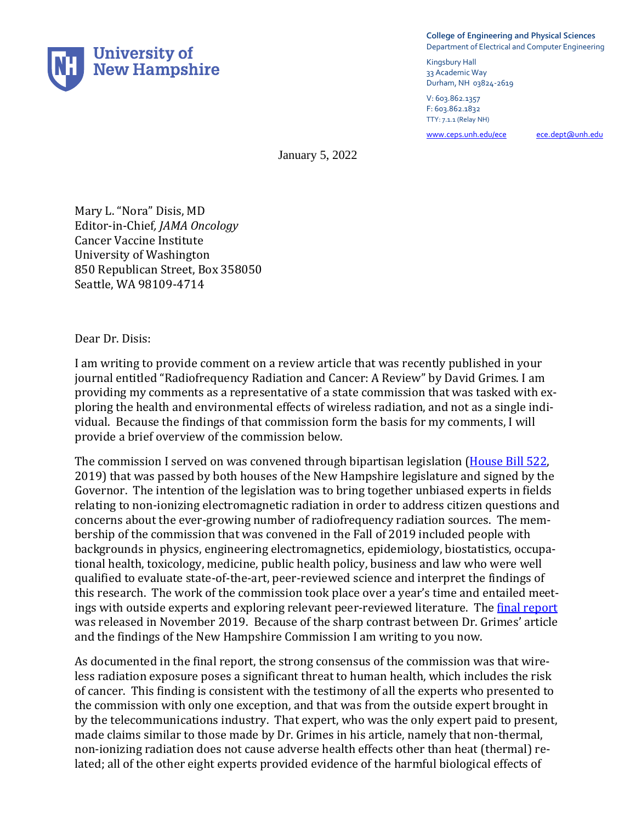

**College of Engineering and Physical Sciences** Department of Electrical and Computer Engineering

Kingsbury Hall 33 Academic Way Durham, NH 03824-2619

V: 603.862.1357 F: 603.862.1832 TTY: 7.1.1 (Relay NH)

[www.ceps.unh.edu/ece ece.dept@unh.edu](about:blank)

January 5, 2022

Mary L. "Nora" Disis, MD Editor-in-Chief*, JAMA Oncology* Cancer Vaccine Institute University of Washington 850 Republican Street, Box 358050 Seattle, WA 98109-4714

Dear Dr. Disis:

I am writing to provide comment on a review article that was recently published in your journal entitled "Radiofrequency Radiation and Cancer: A Review" by David Grimes. I am providing my comments as a representative of a state commission that was tasked with exploring the health and environmental effects of wireless radiation, and not as a single individual. Because the findings of that commission form the basis for my comments, I will provide a brief overview of the commission below.

The commission I served on was convened through bipartisan legislation [\(House Bill](https://legiscan.com/NH/text/HB522/2019) 522, 2019) that was passed by both houses of the New Hampshire legislature and signed by the Governor. The intention of the legislation was to bring together unbiased experts in fields relating to non-ionizing electromagnetic radiation in order to address citizen questions and concerns about the ever-growing number of radiofrequency radiation sources. The membership of the commission that was convened in the Fall of 2019 included people with backgrounds in physics, engineering electromagnetics, epidemiology, biostatistics, occupational health, toxicology, medicine, public health policy, business and law who were well qualified to evaluate state-of-the-art, peer-reviewed science and interpret the findings of this research. The work of the commission took place over a year's time and entailed meetings with outside experts and exploring relevant peer-reviewed literature. Th[e final report](http://www.gencourt.state.nh.us/statstudcomm/committees/1474/reports/5G%20final%20report.pdf) was released in November 2019. Because of the sharp contrast between Dr. Grimes' article and the findings of the New Hampshire Commission I am writing to you now.

As documented in the final report, the strong consensus of the commission was that wireless radiation exposure poses a significant threat to human health, which includes the risk of cancer. This finding is consistent with the testimony of all the experts who presented to the commission with only one exception, and that was from the outside expert brought in by the telecommunications industry. That expert, who was the only expert paid to present, made claims similar to those made by Dr. Grimes in his article, namely that non-thermal, non-ionizing radiation does not cause adverse health effects other than heat (thermal) related; all of the other eight experts provided evidence of the harmful biological effects of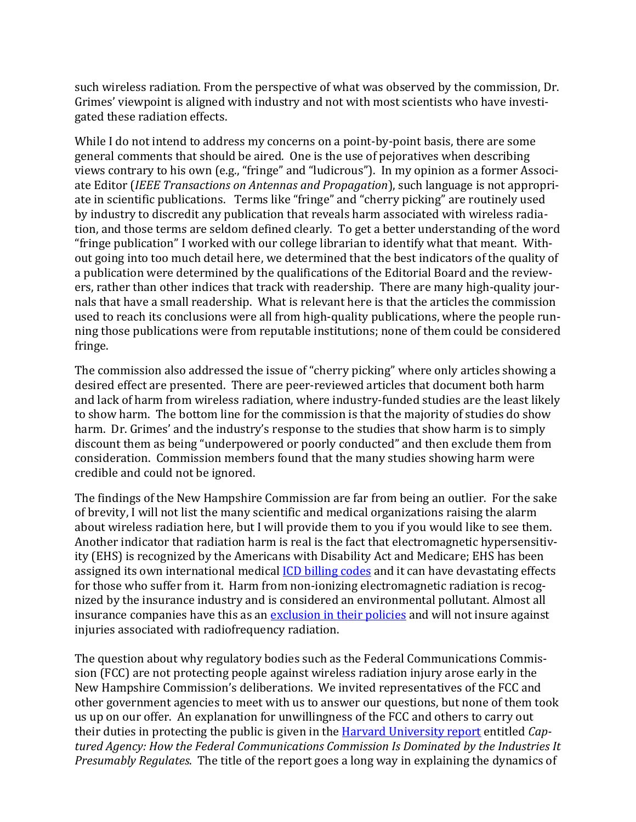such wireless radiation. From the perspective of what was observed by the commission, Dr. Grimes' viewpoint is aligned with industry and not with most scientists who have investigated these radiation effects.

While I do not intend to address my concerns on a point-by-point basis, there are some general comments that should be aired. One is the use of pejoratives when describing views contrary to his own (e.g., "fringe" and "ludicrous"). In my opinion as a former Associate Editor (*IEEE Transactions on Antennas and Propagation*), such language is not appropriate in scientific publications. Terms like "fringe" and "cherry picking" are routinely used by industry to discredit any publication that reveals harm associated with wireless radiation, and those terms are seldom defined clearly. To get a better understanding of the word "fringe publication" I worked with our college librarian to identify what that meant. Without going into too much detail here, we determined that the best indicators of the quality of a publication were determined by the qualifications of the Editorial Board and the reviewers, rather than other indices that track with readership. There are many high-quality journals that have a small readership. What is relevant here is that the articles the commission used to reach its conclusions were all from high-quality publications, where the people running those publications were from reputable institutions; none of them could be considered fringe.

The commission also addressed the issue of "cherry picking" where only articles showing a desired effect are presented. There are peer-reviewed articles that document both harm and lack of harm from wireless radiation, where industry-funded studies are the least likely to show harm. The bottom line for the commission is that the majority of studies do show harm. Dr. Grimes' and the industry's response to the studies that show harm is to simply discount them as being "underpowered or poorly conducted" and then exclude them from consideration. Commission members found that the many studies showing harm were credible and could not be ignored.

The findings of the New Hampshire Commission are far from being an outlier. For the sake of brevity, I will not list the many scientific and medical organizations raising the alarm about wireless radiation here, but I will provide them to you if you would like to see them. Another indicator that radiation harm is real is the fact that electromagnetic hypersensitivity (EHS) is recognized by the Americans with Disability Act and Medicare; EHS has been assigned its own international medical *[ICD billing codes](https://www.aapc.com/codes/icd-10-codes/W90)* and it can have devastating effects for those who suffer from it. Harm from non-ionizing electromagnetic radiation is recognized by the insurance industry and is considered an environmental pollutant. Almost all insurance companies have this as a[n exclusion in their policies](https://www.jrseco.com/lloyds-insurance-company-does-not-cover-health-damage-caused-by-electromagnetic-radiation/) and will not insure against injuries associated with radiofrequency radiation.

The question about why regulatory bodies such as the Federal Communications Commission (FCC) are not protecting people against wireless radiation injury arose early in the New Hampshire Commission's deliberations. We invited representatives of the FCC and other government agencies to meet with us to answer our questions, but none of them took us up on our offer. An explanation for unwillingness of the FCC and others to carry out their duties in protecting the public is given in the [Harvard University report](https://ethics.harvard.edu/files/center-for-ethics/files/capturedagency_alster.pdf) entitled *Captured Agency: How the Federal Communications Commission Is Dominated by the Industries It Presumably Regulates*. The title of the report goes a long way in explaining the dynamics of